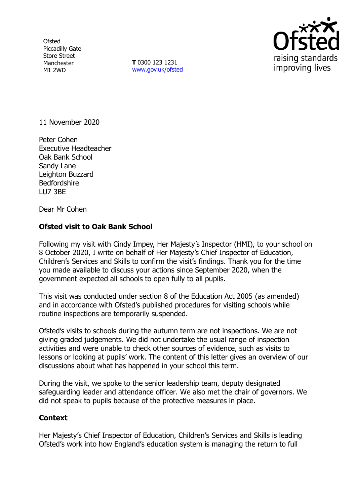**Ofsted** Piccadilly Gate Store Street Manchester M1 2WD

**T** 0300 123 1231 [www.gov.uk/ofsted](http://www.gov.uk/ofsted)



11 November 2020

Peter Cohen Executive Headteacher Oak Bank School Sandy Lane Leighton Buzzard **Bedfordshire** LU7 3BE

Dear Mr Cohen

## **Ofsted visit to Oak Bank School**

Following my visit with Cindy Impey, Her Majesty's Inspector (HMI), to your school on 8 October 2020, I write on behalf of Her Majesty's Chief Inspector of Education, Children's Services and Skills to confirm the visit's findings. Thank you for the time you made available to discuss your actions since September 2020, when the government expected all schools to open fully to all pupils.

This visit was conducted under section 8 of the Education Act 2005 (as amended) and in accordance with Ofsted's published procedures for visiting schools while routine inspections are temporarily suspended.

Ofsted's visits to schools during the autumn term are not inspections. We are not giving graded judgements. We did not undertake the usual range of inspection activities and were unable to check other sources of evidence, such as visits to lessons or looking at pupils' work. The content of this letter gives an overview of our discussions about what has happened in your school this term.

During the visit, we spoke to the senior leadership team, deputy designated safeguarding leader and attendance officer. We also met the chair of governors. We did not speak to pupils because of the protective measures in place.

## **Context**

Her Majesty's Chief Inspector of Education, Children's Services and Skills is leading Ofsted's work into how England's education system is managing the return to full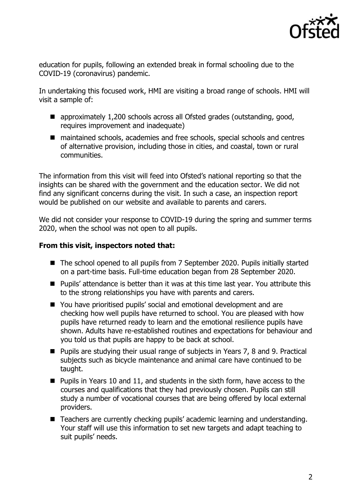

education for pupils, following an extended break in formal schooling due to the COVID-19 (coronavirus) pandemic.

In undertaking this focused work, HMI are visiting a broad range of schools. HMI will visit a sample of:

- approximately 1,200 schools across all Ofsted grades (outstanding, good, requires improvement and inadequate)
- maintained schools, academies and free schools, special schools and centres of alternative provision, including those in cities, and coastal, town or rural communities.

The information from this visit will feed into Ofsted's national reporting so that the insights can be shared with the government and the education sector. We did not find any significant concerns during the visit. In such a case, an inspection report would be published on our website and available to parents and carers.

We did not consider your response to COVID-19 during the spring and summer terms 2020, when the school was not open to all pupils.

## **From this visit, inspectors noted that:**

- The school opened to all pupils from 7 September 2020. Pupils initially started on a part-time basis. Full-time education began from 28 September 2020.
- Pupils' attendance is better than it was at this time last year. You attribute this to the strong relationships you have with parents and carers.
- You have prioritised pupils' social and emotional development and are checking how well pupils have returned to school. You are pleased with how pupils have returned ready to learn and the emotional resilience pupils have shown. Adults have re-established routines and expectations for behaviour and you told us that pupils are happy to be back at school.
- **Pupils are studying their usual range of subjects in Years 7, 8 and 9. Practical** subjects such as bicycle maintenance and animal care have continued to be taught.
- **Pupils in Years 10 and 11, and students in the sixth form, have access to the** courses and qualifications that they had previously chosen. Pupils can still study a number of vocational courses that are being offered by local external providers.
- Teachers are currently checking pupils' academic learning and understanding. Your staff will use this information to set new targets and adapt teaching to suit pupils' needs.